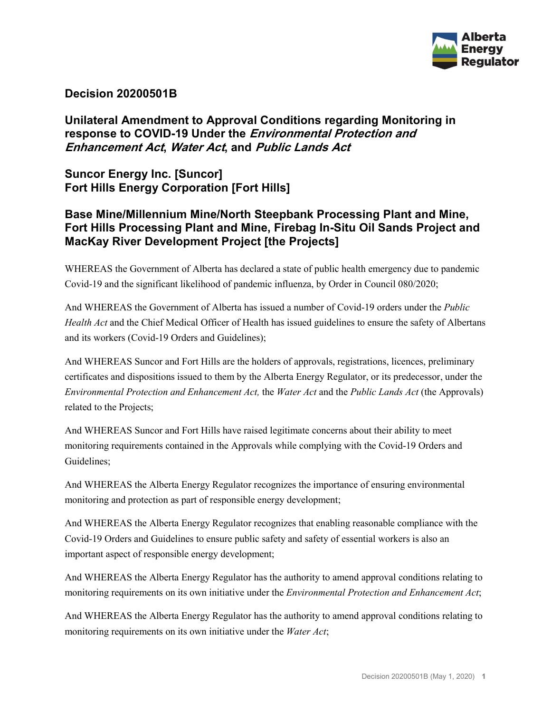

# **Decision 20200501B**

# **Unilateral Amendment to Approval Conditions regarding Monitoring in response to COVID-19 Under the Environmental Protection and Enhancement Act, Water Act, and Public Lands Act**

**Suncor Energy Inc. [Suncor] Fort Hills Energy Corporation [Fort Hills]** 

# **Base Mine/Millennium Mine/North Steepbank Processing Plant and Mine, Fort Hills Processing Plant and Mine, Firebag In-Situ Oil Sands Project and MacKay River Development Project [the Projects]**

WHEREAS the Government of Alberta has declared a state of public health emergency due to pandemic Covid-19 and the significant likelihood of pandemic influenza, by Order in Council 080/2020;

And WHEREAS the Government of Alberta has issued a number of Covid-19 orders under the *Public Health Act* and the Chief Medical Officer of Health has issued guidelines to ensure the safety of Albertans and its workers (Covid-19 Orders and Guidelines);

And WHEREAS Suncor and Fort Hills are the holders of approvals, registrations, licences, preliminary certificates and dispositions issued to them by the Alberta Energy Regulator, or its predecessor, under the *Environmental Protection and Enhancement Act,* the *Water Act* and the *Public Lands Act* (the Approvals) related to the Projects;

And WHEREAS Suncor and Fort Hills have raised legitimate concerns about their ability to meet monitoring requirements contained in the Approvals while complying with the Covid-19 Orders and Guidelines;

And WHEREAS the Alberta Energy Regulator recognizes the importance of ensuring environmental monitoring and protection as part of responsible energy development;

And WHEREAS the Alberta Energy Regulator recognizes that enabling reasonable compliance with the Covid-19 Orders and Guidelines to ensure public safety and safety of essential workers is also an important aspect of responsible energy development;

And WHEREAS the Alberta Energy Regulator has the authority to amend approval conditions relating to monitoring requirements on its own initiative under the *Environmental Protection and Enhancement Act*;

And WHEREAS the Alberta Energy Regulator has the authority to amend approval conditions relating to monitoring requirements on its own initiative under the *Water Act*;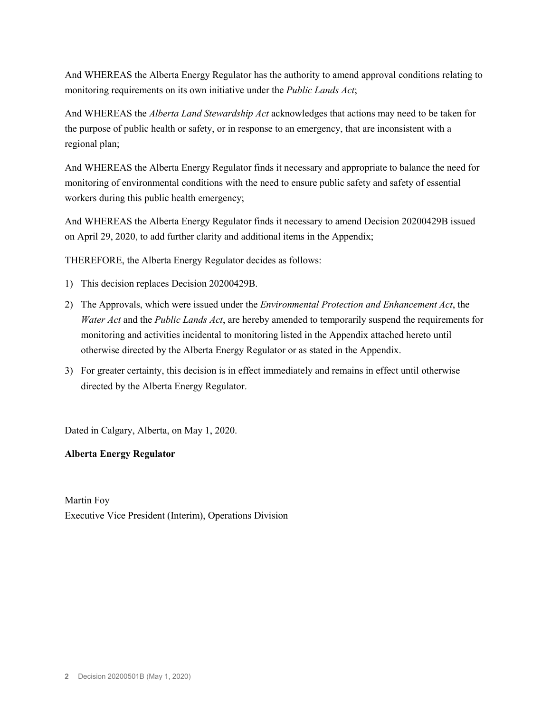And WHEREAS the Alberta Energy Regulator has the authority to amend approval conditions relating to monitoring requirements on its own initiative under the *Public Lands Act*;

And WHEREAS the *Alberta Land Stewardship Act* acknowledges that actions may need to be taken for the purpose of public health or safety, or in response to an emergency, that are inconsistent with a regional plan;

And WHEREAS the Alberta Energy Regulator finds it necessary and appropriate to balance the need for monitoring of environmental conditions with the need to ensure public safety and safety of essential workers during this public health emergency;

And WHEREAS the Alberta Energy Regulator finds it necessary to amend Decision 20200429B issued on April 29, 2020, to add further clarity and additional items in the Appendix;

THEREFORE, the Alberta Energy Regulator decides as follows:

- 1) This decision replaces Decision 20200429B.
- 2) The Approvals, which were issued under the *Environmental Protection and Enhancement Act*, the *Water Act* and the *Public Lands Act*, are hereby amended to temporarily suspend the requirements for monitoring and activities incidental to monitoring listed in the Appendix attached hereto until otherwise directed by the Alberta Energy Regulator or as stated in the Appendix.
- 3) For greater certainty, this decision is in effect immediately and remains in effect until otherwise directed by the Alberta Energy Regulator.

Dated in Calgary, Alberta, on May 1, 2020.

#### **Alberta Energy Regulator**

Martin Foy Executive Vice President (Interim), Operations Division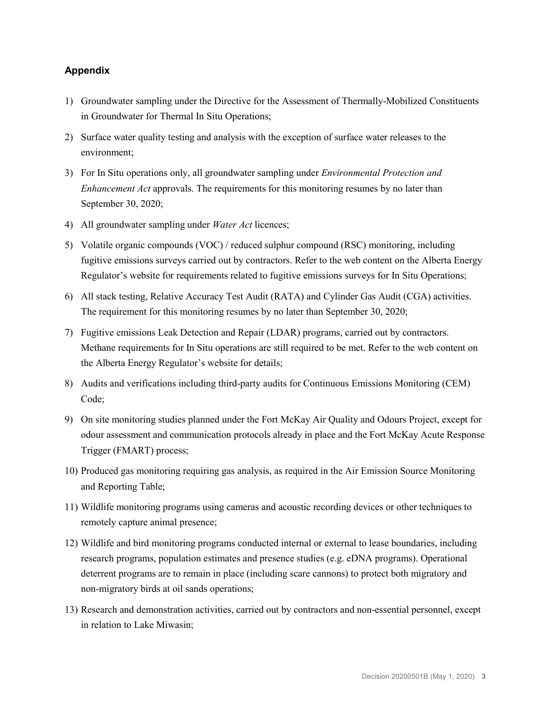### **Appendix**

- 1) Groundwater sampling under the Directive for the Assessment of Thermally-Mobilized Constituents in Groundwater for Thermal In Situ Operations;
- 2) Surface water quality testing and analysis with the exception of surface water releases to the environment;
- 3) For In Situ operations only, all groundwater sampling under *Environmental Protection and Enhancement Act* approvals. The requirements for this monitoring resumes by no later than September 30, 2020;
- 4) All groundwater sampling under *Water Act* licences;
- 5) Volatile organic compounds (VOC) / reduced sulphur compound (RSC) monitoring, including fugitive emissions surveys carried out by contractors. Refer to the web content on the Alberta Energy Regulator's website for requirements related to fugitive emissions surveys for In Situ Operations;
- 6) All stack testing, Relative Accuracy Test Audit (RATA) and Cylinder Gas Audit (CGA) activities. The requirement for this monitoring resumes by no later than September 30, 2020;
- 7) Fugitive emissions Leak Detection and Repair (LDAR) programs, carried out by contractors. Methane requirements for In Situ operations are still required to be met. Refer to the web content on the Alberta Energy Regulator's website for details;
- 8) Audits and verifications including third-party audits for Continuous Emissions Monitoring (CEM) Code;
- 9) On site monitoring studies planned under the Fort McKay Air Quality and Odours Project, except for odour assessment and communication protocols already in place and the Fort McKay Acute Response Trigger (FMART) process;
- 10) Produced gas monitoring requiring gas analysis, as required in the Air Emission Source Monitoring and Reporting Table;
- 11) Wildlife monitoring programs using cameras and acoustic recording devices or other techniques to remotely capture animal presence;
- 12) Wildlife and bird monitoring programs conducted internal or external to lease boundaries, including research programs, population estimates and presence studies (e.g. eDNA programs). Operational deterrent programs are to remain in place (including scare cannons) to protect both migratory and non-migratory birds at oil sands operations;
- 13) Research and demonstration activities, carried out by contractors and non-essential personnel, except in relation to Lake Miwasin;